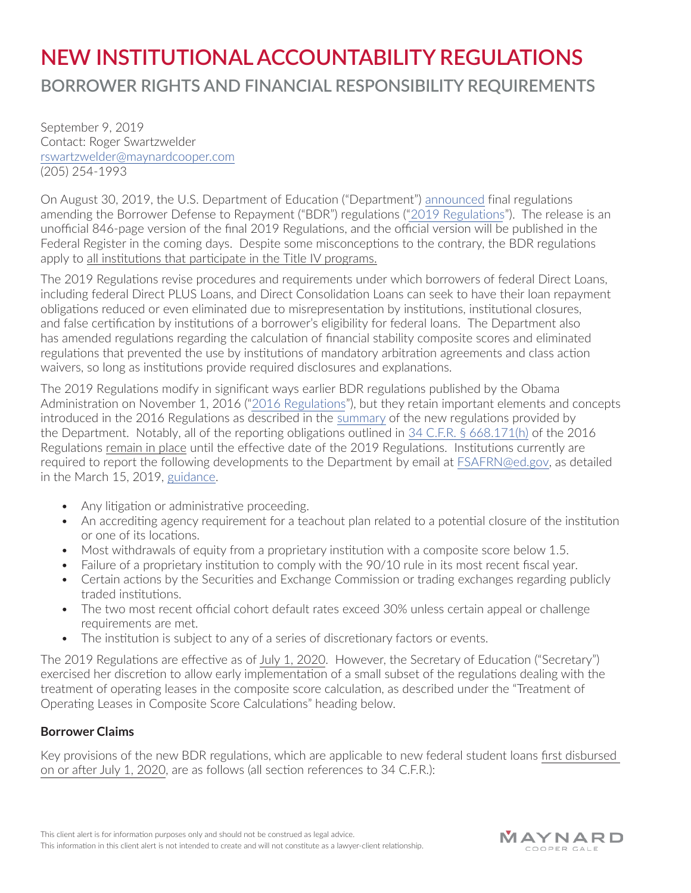# **NEW INSTITUTIONALACCOUNTABILITY REGULATIONS BORROWER RIGHTS AND FINANCIAL RESPONSIBILITY REQUIREMENTS**

September 9, 2019 Contact: Roger Swartzwelder rswartzwelder@maynardcooper.com (205) 254-1993

On August 30, 2019, the U.S. Department of Education ("Department") [announced](https://www.ed.gov/news/press-releases/us-department-education-finalizes-regulations-protect-student-borrowers-hold-higher-education-institutions-accountable-and-save-taxpayers-111-billion-over-10-years) final regulations amending the Borrower Defense to Repayment ("BDR") regulations ("[2019 Regulations"](https://www2.ed.gov/policy/highered/reg/hearulemaking/2017/borrower-defense-final-rule.pdf)). The release is an unofficial 846-page version of the final 2019 Regulations, and the official version will be published in the Federal Register in the coming days. Despite some misconceptions to the contrary, the BDR regulations apply to all institutions that participate in the Title IV programs.

The 2019 Regulations revise procedures and requirements under which borrowers of federal Direct Loans, including federal Direct PLUS Loans, and Direct Consolidation Loans can seek to have their loan repayment obligations reduced or even eliminated due to misrepresentation by institutions, institutional closures, and false certification by institutions of a borrower's eligibility for federal loans. The Department also has amended regulations regarding the calculation of financial stability composite scores and eliminated regulations that prevented the use by institutions of mandatory arbitration agreements and class action waivers, so long as institutions provide required disclosures and explanations.

The 2019 Regulations modify in significant ways earlier BDR regulations published by the Obama Administration on November 1, 2016 (["2016 Regulations"](https://www.govinfo.gov/content/pkg/FR-2016-11-01/pdf/2016-25448.pdf)), but they retain important elements and concepts introduced in the 2016 Regulations as described in the [summary](https://www2.ed.gov/policy/highered/reg/hearulemaking/2017/borrower-defense-institutional-accountability-summary.pdf) of the new regulations provided by the Department. Notably, all of the reporting obligations outlined in [34 C.F.R. § 668.171\(h\)](https://www.govinfo.gov/content/pkg/CFR-2018-title34-vol3/pdf/CFR-2018-title34-vol3-sec668-171.pdf) of the 2016 Regulations remain in place until the effective date of the 2019 Regulations. Institutions currently are required to report the following developments to the Department by email at [FSAFRN@ed.gov](mailto:FSAFRN@ed.gov), as detailed in the March 15, 2019, [guidance](https://ifap.ed.gov/electronic-announcements/03-15-2019-ope-announcements-subject-guidance-concerning-some-provisions).

- Any litigation or administrative proceeding.
- An accrediting agency requirement for a teachout plan related to a potential closure of the institution or one of its locations.
- Most withdrawals of equity from a proprietary institution with a composite score below 1.5.
- Failure of a proprietary institution to comply with the 90/10 rule in its most recent fiscal year.
- Certain actions by the Securities and Exchange Commission or trading exchanges regarding publicly traded institutions.
- The two most recent official cohort default rates exceed 30% unless certain appeal or challenge requirements are met.
- The institution is subject to any of a series of discretionary factors or events.

The 2019 Regulations are effective as of July 1, 2020. However, the Secretary of Education ("Secretary") exercised her discretion to allow early implementation of a small subset of the regulations dealing with the treatment of operating leases in the composite score calculation, as described under the "Treatment of Operating Leases in Composite Score Calculations" heading below.

# **Borrower Claims**

Key provisions of the new BDR regulations, which are applicable to new federal student loans first disbursed on or after July 1, 2020, are as follows (all section references to 34 C.F.R.):

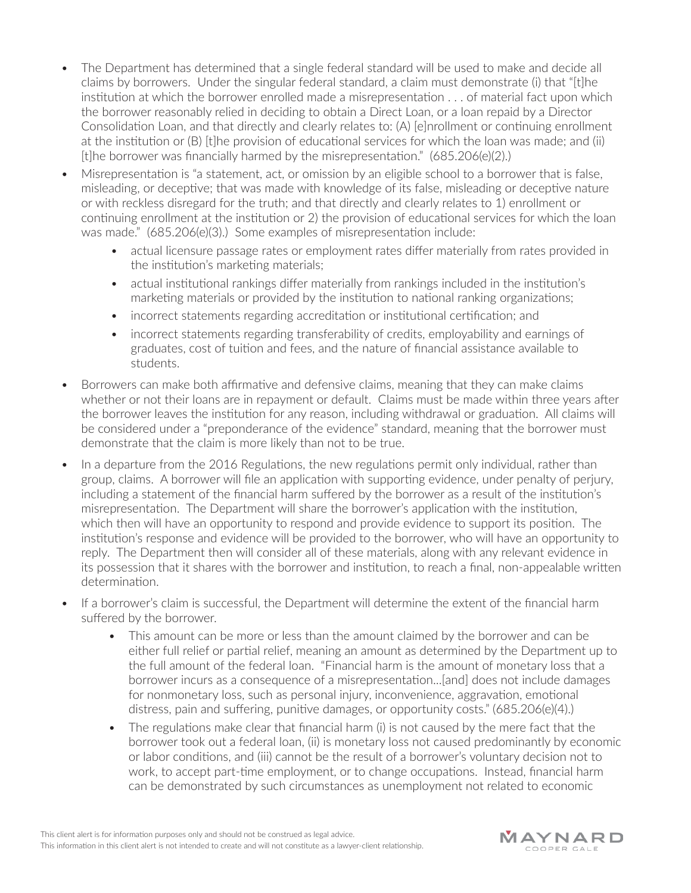- The Department has determined that a single federal standard will be used to make and decide all claims by borrowers. Under the singular federal standard, a claim must demonstrate (i) that "[t]he institution at which the borrower enrolled made a misrepresentation . . . of material fact upon which the borrower reasonably relied in deciding to obtain a Direct Loan, or a loan repaid by a Director Consolidation Loan, and that directly and clearly relates to: (A) [e]nrollment or continuing enrollment at the institution or (B) [t]he provision of educational services for which the loan was made; and (ii) [t]he borrower was financially harmed by the misrepresentation." (685.206(e)(2).)
- Misrepresentation is "a statement, act, or omission by an eligible school to a borrower that is false, misleading, or deceptive; that was made with knowledge of its false, misleading or deceptive nature or with reckless disregard for the truth; and that directly and clearly relates to 1) enrollment or continuing enrollment at the institution or 2) the provision of educational services for which the loan was made." (685.206(e)(3).) Some examples of misrepresentation include:
	- actual licensure passage rates or employment rates differ materially from rates provided in the institution's marketing materials;
	- actual institutional rankings differ materially from rankings included in the institution's marketing materials or provided by the institution to national ranking organizations;
	- incorrect statements regarding accreditation or institutional certification; and
	- incorrect statements regarding transferability of credits, employability and earnings of graduates, cost of tuition and fees, and the nature of financial assistance available to students.
- Borrowers can make both affirmative and defensive claims, meaning that they can make claims whether or not their loans are in repayment or default. Claims must be made within three years after the borrower leaves the institution for any reason, including withdrawal or graduation. All claims will be considered under a "preponderance of the evidence" standard, meaning that the borrower must demonstrate that the claim is more likely than not to be true.
- In a departure from the 2016 Regulations, the new regulations permit only individual, rather than group, claims. A borrower will file an application with supporting evidence, under penalty of perjury, including a statement of the financial harm suffered by the borrower as a result of the institution's misrepresentation. The Department will share the borrower's application with the institution, which then will have an opportunity to respond and provide evidence to support its position. The institution's response and evidence will be provided to the borrower, who will have an opportunity to reply. The Department then will consider all of these materials, along with any relevant evidence in its possession that it shares with the borrower and institution, to reach a final, non-appealable written determination.
- If a borrower's claim is successful, the Department will determine the extent of the financial harm suffered by the borrower.
	- This amount can be more or less than the amount claimed by the borrower and can be either full relief or partial relief, meaning an amount as determined by the Department up to the full amount of the federal loan. "Financial harm is the amount of monetary loss that a borrower incurs as a consequence of a misrepresentation...[and] does not include damages for nonmonetary loss, such as personal injury, inconvenience, aggravation, emotional distress, pain and suffering, punitive damages, or opportunity costs."  $(685.206(e)(4))$
	- The regulations make clear that financial harm (i) is not caused by the mere fact that the borrower took out a federal loan, (ii) is monetary loss not caused predominantly by economic or labor conditions, and (iii) cannot be the result of a borrower's voluntary decision not to work, to accept part-time employment, or to change occupations. Instead, financial harm can be demonstrated by such circumstances as unemployment not related to economic

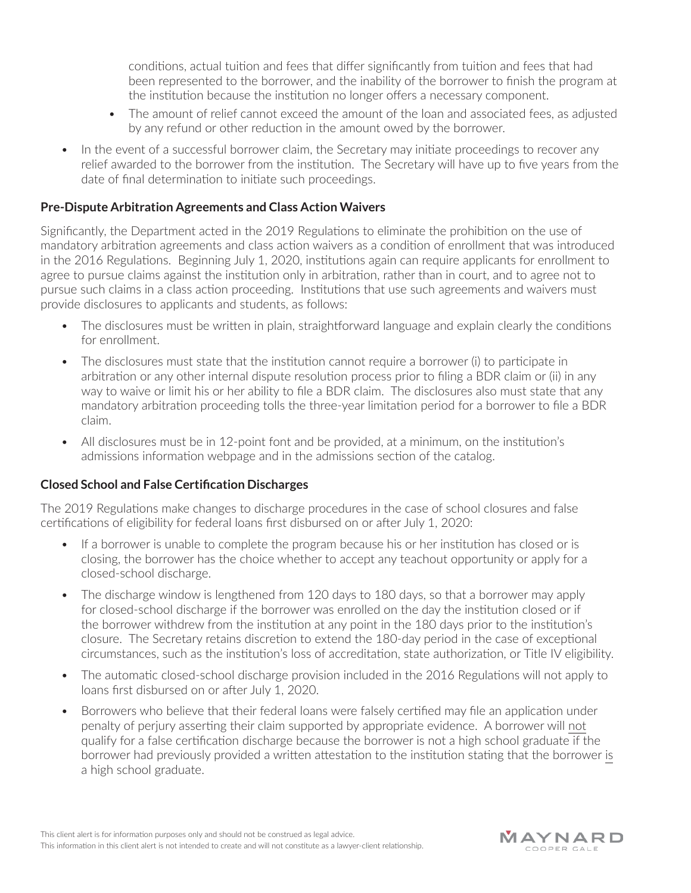conditions, actual tuition and fees that differ significantly from tuition and fees that had been represented to the borrower, and the inability of the borrower to finish the program at the institution because the institution no longer offers a necessary component.

- The amount of relief cannot exceed the amount of the loan and associated fees, as adjusted by any refund or other reduction in the amount owed by the borrower.
- In the event of a successful borrower claim, the Secretary may initiate proceedings to recover any relief awarded to the borrower from the institution. The Secretary will have up to five years from the date of final determination to initiate such proceedings.

## **Pre-Dispute Arbitration Agreements and Class Action Waivers**

Significantly, the Department acted in the 2019 Regulations to eliminate the prohibition on the use of mandatory arbitration agreements and class action waivers as a condition of enrollment that was introduced in the 2016 Regulations. Beginning July 1, 2020, institutions again can require applicants for enrollment to agree to pursue claims against the institution only in arbitration, rather than in court, and to agree not to pursue such claims in a class action proceeding. Institutions that use such agreements and waivers must provide disclosures to applicants and students, as follows:

- The disclosures must be written in plain, straightforward language and explain clearly the conditions for enrollment.
- The disclosures must state that the institution cannot require a borrower (i) to participate in arbitration or any other internal dispute resolution process prior to filing a BDR claim or (ii) in any way to waive or limit his or her ability to file a BDR claim. The disclosures also must state that any mandatory arbitration proceeding tolls the three-year limitation period for a borrower to file a BDR claim.
- All disclosures must be in 12-point font and be provided, at a minimum, on the institution's admissions information webpage and in the admissions section of the catalog.

#### **Closed School and False Certification Discharges**

The 2019 Regulations make changes to discharge procedures in the case of school closures and false certifications of eligibility for federal loans first disbursed on or after July 1, 2020:

- If a borrower is unable to complete the program because his or her institution has closed or is closing, the borrower has the choice whether to accept any teachout opportunity or apply for a closed-school discharge.
- The discharge window is lengthened from 120 days to 180 days, so that a borrower may apply for closed-school discharge if the borrower was enrolled on the day the institution closed or if the borrower withdrew from the institution at any point in the 180 days prior to the institution's closure. The Secretary retains discretion to extend the 180-day period in the case of exceptional circumstances, such as the institution's loss of accreditation, state authorization, or Title IV eligibility.
- The automatic closed-school discharge provision included in the 2016 Regulations will not apply to loans first disbursed on or after July 1, 2020.
- Borrowers who believe that their federal loans were falsely certified may file an application under penalty of perjury asserting their claim supported by appropriate evidence. A borrower will not qualify for a false certification discharge because the borrower is not a high school graduate if the borrower had previously provided a written attestation to the institution stating that the borrower is a high school graduate.

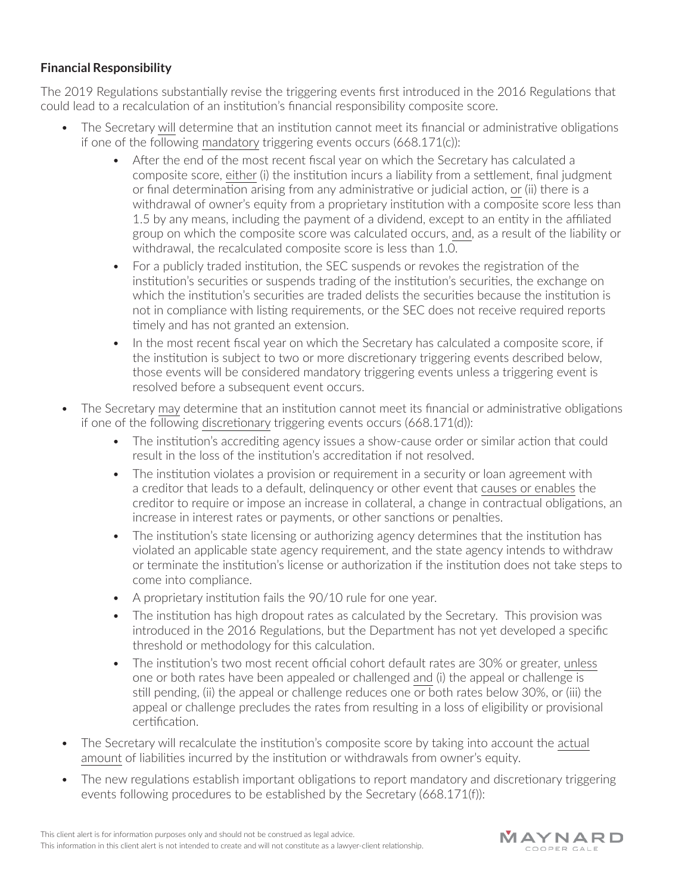# **Financial Responsibility**

The 2019 Regulations substantially revise the triggering events first introduced in the 2016 Regulations that could lead to a recalculation of an institution's financial responsibility composite score.

- The Secretary will determine that an institution cannot meet its financial or administrative obligations if one of the following mandatory triggering events occurs (668.171(c)):
	- After the end of the most recent fiscal year on which the Secretary has calculated a composite score, either (i) the institution incurs a liability from a settlement, final judgment or final determination arising from any administrative or judicial action, or (ii) there is a withdrawal of owner's equity from a proprietary institution with a composite score less than 1.5 by any means, including the payment of a dividend, except to an entity in the affiliated group on which the composite score was calculated occurs, and, as a result of the liability or withdrawal, the recalculated composite score is less than 1.0.
	- For a publicly traded institution, the SEC suspends or revokes the registration of the institution's securities or suspends trading of the institution's securities, the exchange on which the institution's securities are traded delists the securities because the institution is not in compliance with listing requirements, or the SEC does not receive required reports timely and has not granted an extension.
	- In the most recent fiscal year on which the Secretary has calculated a composite score, if the institution is subject to two or more discretionary triggering events described below, those events will be considered mandatory triggering events unless a triggering event is resolved before a subsequent event occurs.
- The Secretary may determine that an institution cannot meet its financial or administrative obligations if one of the following discretionary triggering events occurs (668.171(d)):
	- The institution's accrediting agency issues a show-cause order or similar action that could result in the loss of the institution's accreditation if not resolved.
	- The institution violates a provision or requirement in a security or loan agreement with a creditor that leads to a default, delinquency or other event that causes or enables the creditor to require or impose an increase in collateral, a change in contractual obligations, an increase in interest rates or payments, or other sanctions or penalties.
	- The institution's state licensing or authorizing agency determines that the institution has violated an applicable state agency requirement, and the state agency intends to withdraw or terminate the institution's license or authorization if the institution does not take steps to come into compliance.
	- A proprietary institution fails the 90/10 rule for one year.
	- The institution has high dropout rates as calculated by the Secretary. This provision was introduced in the 2016 Regulations, but the Department has not yet developed a specific threshold or methodology for this calculation.
	- The institution's two most recent official cohort default rates are 30% or greater, unless one or both rates have been appealed or challenged and (i) the appeal or challenge is still pending, (ii) the appeal or challenge reduces one or both rates below 30%, or (iii) the appeal or challenge precludes the rates from resulting in a loss of eligibility or provisional certification.
- The Secretary will recalculate the institution's composite score by taking into account the actual amount of liabilities incurred by the institution or withdrawals from owner's equity.
- The new regulations establish important obligations to report mandatory and discretionary triggering events following procedures to be established by the Secretary (668.171(f)):